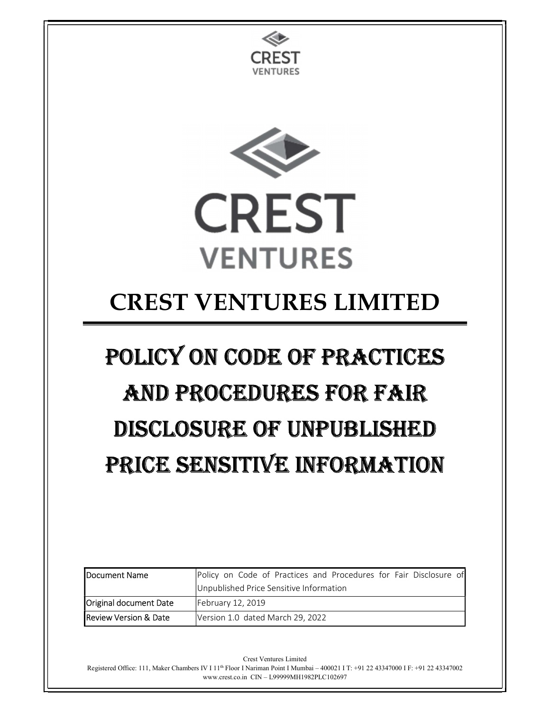



## CREST VENTURES LIMITED

# POLICY ON CODE OF PRACTICES AND PROCEDURES FOR FAIR DISCLOSURE OF UNPUBLISHED PRICE SENSITIVE INFORMATION

| <b>IDocument Name</b>            | Policy on Code of Practices and Procedures for Fair Disclosure of |
|----------------------------------|-------------------------------------------------------------------|
|                                  | Unpublished Price Sensitive Information                           |
| Original document Date           | February 12, 2019                                                 |
| <b>Review Version &amp; Date</b> | Version 1.0 dated March 29, 2022                                  |

Crest Ventures Limited

Registered Office: 111, Maker Chambers IV I 11th Floor I Nariman Point I Mumbai – 400021 I T: +91 22 43347000 I F: +91 22 43347002 www.crest.co.in CIN – L99999MH1982PLC102697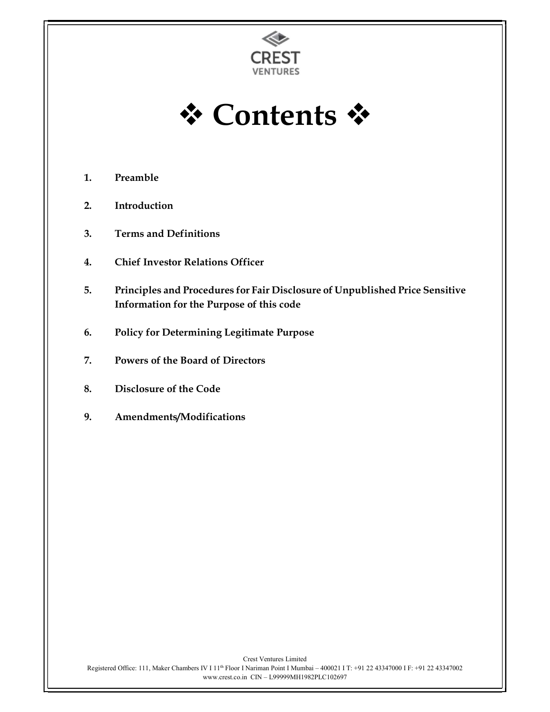



- 1. Preamble
- 2. Introduction
- 3. Terms and Definitions
- 4. Chief Investor Relations Officer
- 5. Principles and Procedures for Fair Disclosure of Unpublished Price Sensitive Information for the Purpose of this code
- 6. Policy for Determining Legitimate Purpose
- 7. Powers of the Board of Directors
- 8. Disclosure of the Code
- 9. Amendments/Modifications

Crest Ventures Limited Registered Office: 111, Maker Chambers IV I 11<sup>th</sup> Floor I Nariman Point I Mumbai – 400021 I T: +91 22 43347000 I F: +91 22 43347002 www.crest.co.in CIN – L99999MH1982PLC102697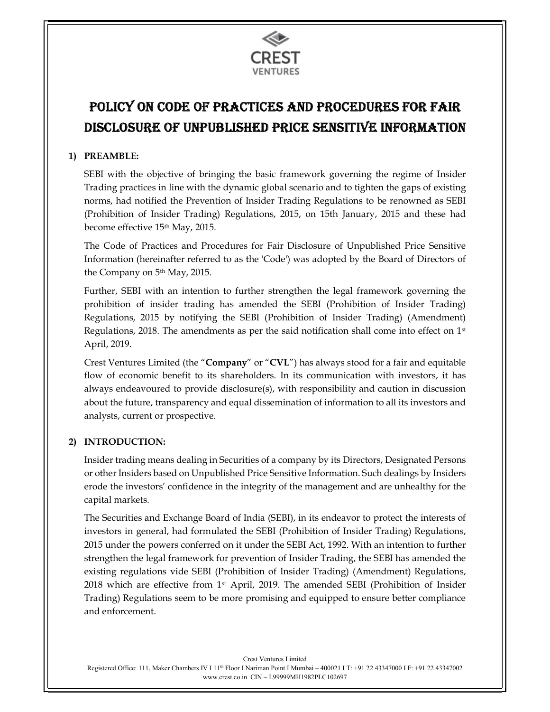

### POLICY ON CODE OF PRACTICES AND PROCEDURES FOR FAIR DISCLOSURE OF UNPUBLISHED PRICE SENSITIVE INFORMATION

#### 1) PREAMBLE:

SEBI with the objective of bringing the basic framework governing the regime of Insider Trading practices in line with the dynamic global scenario and to tighten the gaps of existing norms, had notified the Prevention of Insider Trading Regulations to be renowned as SEBI (Prohibition of Insider Trading) Regulations, 2015, on 15th January, 2015 and these had become effective 15th May, 2015.

The Code of Practices and Procedures for Fair Disclosure of Unpublished Price Sensitive Information (hereinafter referred to as the 'Code') was adopted by the Board of Directors of the Company on 5<sup>th</sup> May, 2015.

Further, SEBI with an intention to further strengthen the legal framework governing the prohibition of insider trading has amended the SEBI (Prohibition of Insider Trading) Regulations, 2015 by notifying the SEBI (Prohibition of Insider Trading) (Amendment) Regulations, 2018. The amendments as per the said notification shall come into effect on 1st April, 2019.

Crest Ventures Limited (the "Company" or "CVL") has always stood for a fair and equitable flow of economic benefit to its shareholders. In its communication with investors, it has always endeavoured to provide disclosure(s), with responsibility and caution in discussion about the future, transparency and equal dissemination of information to all its investors and analysts, current or prospective.

#### 2) INTRODUCTION:

Insider trading means dealing in Securities of a company by its Directors, Designated Persons or other Insiders based on Unpublished Price Sensitive Information. Such dealings by Insiders erode the investors' confidence in the integrity of the management and are unhealthy for the capital markets.

The Securities and Exchange Board of India (SEBI), in its endeavor to protect the interests of investors in general, had formulated the SEBI (Prohibition of Insider Trading) Regulations, 2015 under the powers conferred on it under the SEBI Act, 1992. With an intention to further strengthen the legal framework for prevention of Insider Trading, the SEBI has amended the existing regulations vide SEBI (Prohibition of Insider Trading) (Amendment) Regulations, 2018 which are effective from  $1<sup>st</sup>$  April, 2019. The amended SEBI (Prohibition of Insider Trading) Regulations seem to be more promising and equipped to ensure better compliance and enforcement.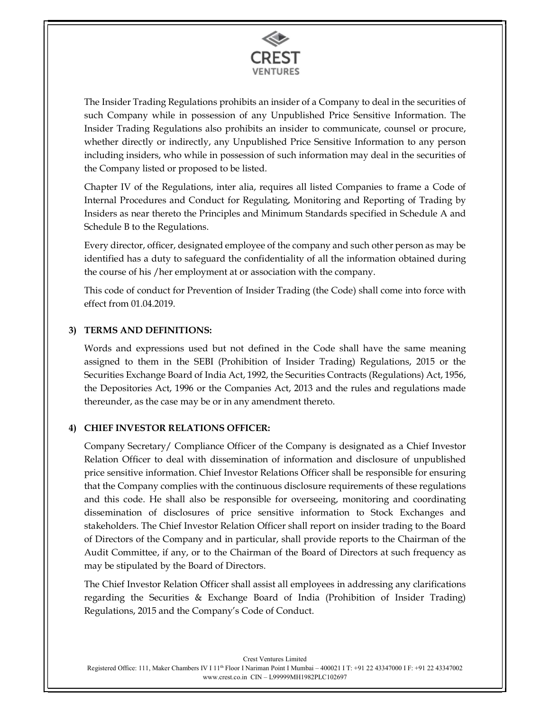

The Insider Trading Regulations prohibits an insider of a Company to deal in the securities of such Company while in possession of any Unpublished Price Sensitive Information. The Insider Trading Regulations also prohibits an insider to communicate, counsel or procure, whether directly or indirectly, any Unpublished Price Sensitive Information to any person including insiders, who while in possession of such information may deal in the securities of the Company listed or proposed to be listed.

Chapter IV of the Regulations, inter alia, requires all listed Companies to frame a Code of Internal Procedures and Conduct for Regulating, Monitoring and Reporting of Trading by Insiders as near thereto the Principles and Minimum Standards specified in Schedule A and Schedule B to the Regulations.

Every director, officer, designated employee of the company and such other person as may be identified has a duty to safeguard the confidentiality of all the information obtained during the course of his /her employment at or association with the company.

This code of conduct for Prevention of Insider Trading (the Code) shall come into force with effect from 01.04.2019.

#### 3) TERMS AND DEFINITIONS:

Words and expressions used but not defined in the Code shall have the same meaning assigned to them in the SEBI (Prohibition of Insider Trading) Regulations, 2015 or the Securities Exchange Board of India Act, 1992, the Securities Contracts (Regulations) Act, 1956, the Depositories Act, 1996 or the Companies Act, 2013 and the rules and regulations made thereunder, as the case may be or in any amendment thereto.

#### 4) CHIEF INVESTOR RELATIONS OFFICER:

Company Secretary/ Compliance Officer of the Company is designated as a Chief Investor Relation Officer to deal with dissemination of information and disclosure of unpublished price sensitive information. Chief Investor Relations Officer shall be responsible for ensuring that the Company complies with the continuous disclosure requirements of these regulations and this code. He shall also be responsible for overseeing, monitoring and coordinating dissemination of disclosures of price sensitive information to Stock Exchanges and stakeholders. The Chief Investor Relation Officer shall report on insider trading to the Board of Directors of the Company and in particular, shall provide reports to the Chairman of the Audit Committee, if any, or to the Chairman of the Board of Directors at such frequency as may be stipulated by the Board of Directors.

The Chief Investor Relation Officer shall assist all employees in addressing any clarifications regarding the Securities & Exchange Board of India (Prohibition of Insider Trading) Regulations, 2015 and the Company's Code of Conduct.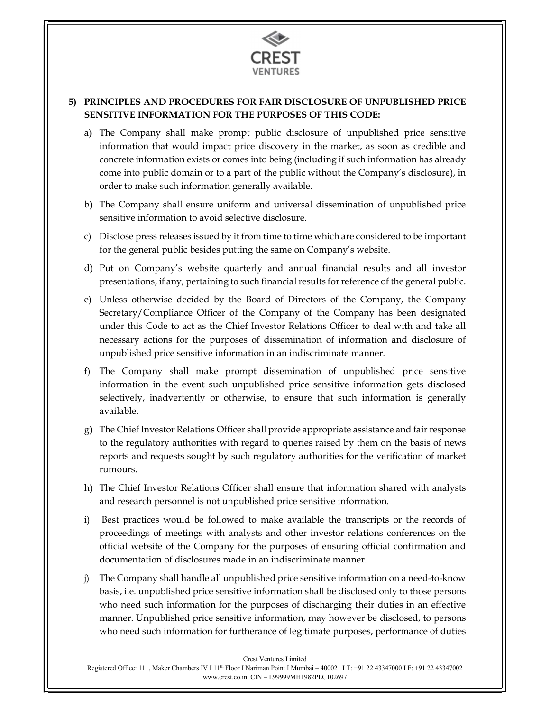

#### 5) PRINCIPLES AND PROCEDURES FOR FAIR DISCLOSURE OF UNPUBLISHED PRICE SENSITIVE INFORMATION FOR THE PURPOSES OF THIS CODE:

- a) The Company shall make prompt public disclosure of unpublished price sensitive information that would impact price discovery in the market, as soon as credible and concrete information exists or comes into being (including if such information has already come into public domain or to a part of the public without the Company's disclosure), in order to make such information generally available.
- b) The Company shall ensure uniform and universal dissemination of unpublished price sensitive information to avoid selective disclosure.
- c) Disclose press releases issued by it from time to time which are considered to be important for the general public besides putting the same on Company's website.
- d) Put on Company's website quarterly and annual financial results and all investor presentations, if any, pertaining to such financial results for reference of the general public.
- e) Unless otherwise decided by the Board of Directors of the Company, the Company Secretary/Compliance Officer of the Company of the Company has been designated under this Code to act as the Chief Investor Relations Officer to deal with and take all necessary actions for the purposes of dissemination of information and disclosure of unpublished price sensitive information in an indiscriminate manner.
- f) The Company shall make prompt dissemination of unpublished price sensitive information in the event such unpublished price sensitive information gets disclosed selectively, inadvertently or otherwise, to ensure that such information is generally available.
- g) The Chief Investor Relations Officer shall provide appropriate assistance and fair response to the regulatory authorities with regard to queries raised by them on the basis of news reports and requests sought by such regulatory authorities for the verification of market rumours.
- h) The Chief Investor Relations Officer shall ensure that information shared with analysts and research personnel is not unpublished price sensitive information.
- i) Best practices would be followed to make available the transcripts or the records of proceedings of meetings with analysts and other investor relations conferences on the official website of the Company for the purposes of ensuring official confirmation and documentation of disclosures made in an indiscriminate manner.
- j) The Company shall handle all unpublished price sensitive information on a need-to-know basis, i.e. unpublished price sensitive information shall be disclosed only to those persons who need such information for the purposes of discharging their duties in an effective manner. Unpublished price sensitive information, may however be disclosed, to persons who need such information for furtherance of legitimate purposes, performance of duties

Crest Ventures Limited

Registered Office: 111, Maker Chambers IV I 11th Floor I Nariman Point I Mumbai – 400021 I T: +91 22 43347000 I F: +91 22 43347002 www.crest.co.in CIN – L99999MH1982PLC102697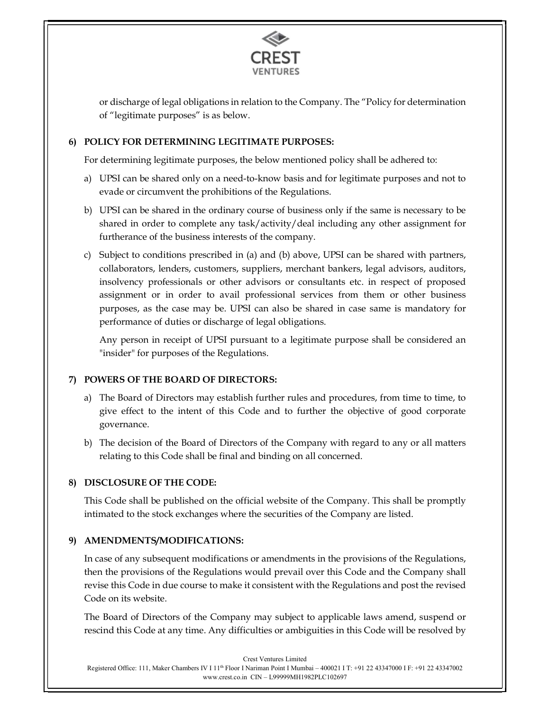

or discharge of legal obligations in relation to the Company. The "Policy for determination of "legitimate purposes" is as below.

#### 6) POLICY FOR DETERMINING LEGITIMATE PURPOSES:

For determining legitimate purposes, the below mentioned policy shall be adhered to:

- a) UPSI can be shared only on a need-to-know basis and for legitimate purposes and not to evade or circumvent the prohibitions of the Regulations.
- b) UPSI can be shared in the ordinary course of business only if the same is necessary to be shared in order to complete any task/activity/deal including any other assignment for furtherance of the business interests of the company.
- c) Subject to conditions prescribed in (a) and (b) above, UPSI can be shared with partners, collaborators, lenders, customers, suppliers, merchant bankers, legal advisors, auditors, insolvency professionals or other advisors or consultants etc. in respect of proposed assignment or in order to avail professional services from them or other business purposes, as the case may be. UPSI can also be shared in case same is mandatory for performance of duties or discharge of legal obligations.

Any person in receipt of UPSI pursuant to a legitimate purpose shall be considered an "insider" for purposes of the Regulations.

#### 7) POWERS OF THE BOARD OF DIRECTORS:

- a) The Board of Directors may establish further rules and procedures, from time to time, to give effect to the intent of this Code and to further the objective of good corporate governance.
- b) The decision of the Board of Directors of the Company with regard to any or all matters relating to this Code shall be final and binding on all concerned.

#### 8) DISCLOSURE OF THE CODE:

This Code shall be published on the official website of the Company. This shall be promptly intimated to the stock exchanges where the securities of the Company are listed.

#### 9) AMENDMENTS/MODIFICATIONS:

In case of any subsequent modifications or amendments in the provisions of the Regulations, then the provisions of the Regulations would prevail over this Code and the Company shall revise this Code in due course to make it consistent with the Regulations and post the revised Code on its website.

The Board of Directors of the Company may subject to applicable laws amend, suspend or rescind this Code at any time. Any difficulties or ambiguities in this Code will be resolved by

Crest Ventures Limited Registered Office: 111, Maker Chambers IV I 11th Floor I Nariman Point I Mumbai – 400021 I T: +91 22 43347000 I F: +91 22 43347002 www.crest.co.in CIN – L99999MH1982PLC102697